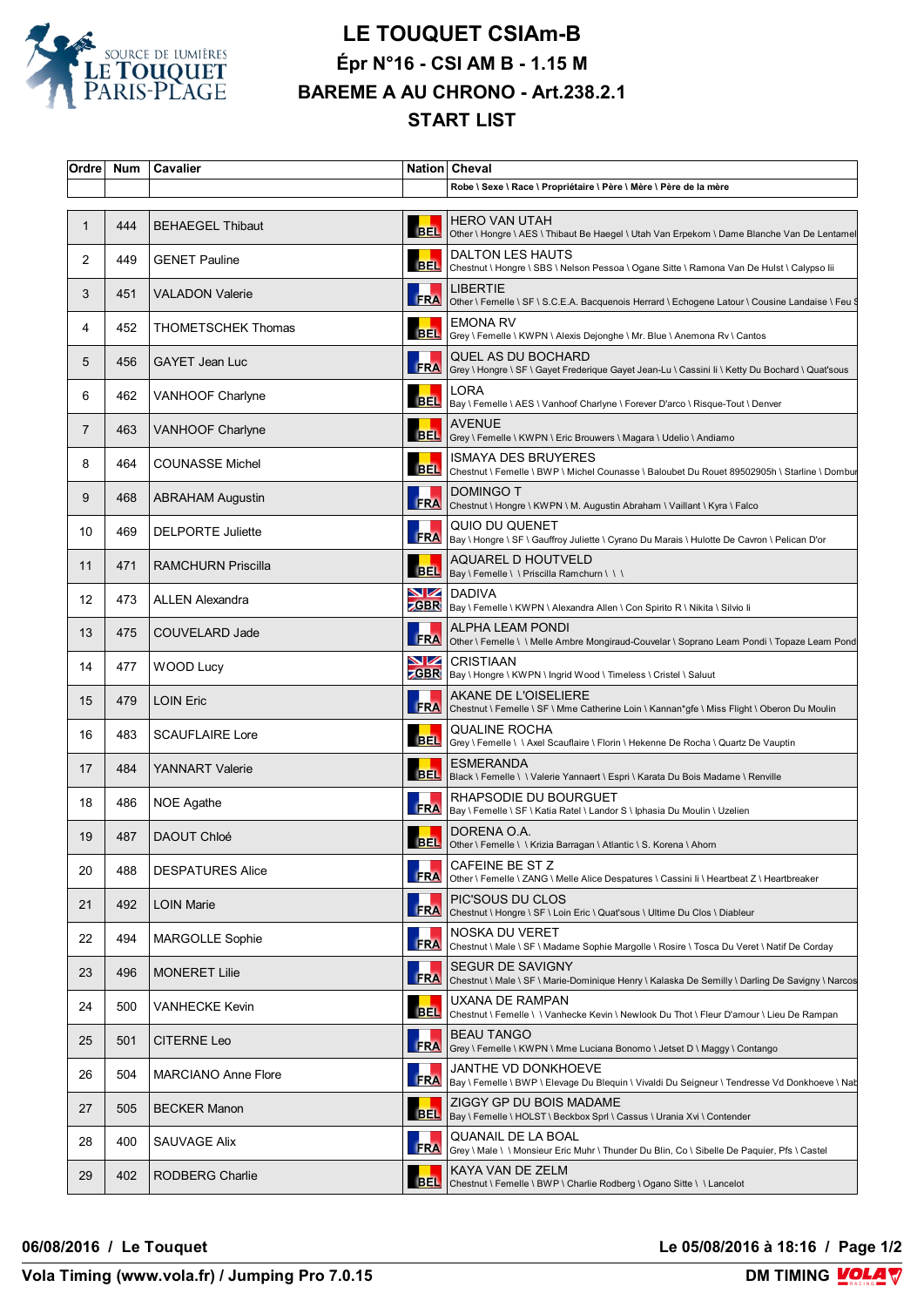

## **LE TOUQUET CSIAm-B Épr N°16 - CSI AM B - 1.15 M BAREME A AU CHRONO - Art.238.2.1 START LIST**

| Ordre | Num | Cavalier                   |            | Nation Cheval                                                                                                                    |
|-------|-----|----------------------------|------------|----------------------------------------------------------------------------------------------------------------------------------|
|       |     |                            |            | Robe \ Sexe \ Race \ Propriétaire \ Père \ Mère \ Père de la mère                                                                |
| 1     | 444 | <b>BEHAEGEL Thibaut</b>    | <b>BEL</b> | <b>HERO VAN UTAH</b><br>Other \ Hongre \ AES \ Thibaut Be Haegel \ Utah Van Erpekom \ Dame Blanche Van De Lentamel               |
| 2     | 449 | <b>GENET Pauline</b>       |            | <b>DALTON LES HAUTS</b><br>BEL Chestnut \ Hongre \ SBS \ Nelson Pessoa \ Ogane Sitte \ Ramona Van De Hulst \ Calypso lii         |
| 3     | 451 | VALADON Valerie            | <b>FRA</b> | <b>LIBERTIE</b><br>Other \ Femelle \ SF \ S.C.E.A. Bacquenois Herrard \ Echogene Latour \ Cousine Landaise \ Feu \$              |
| 4     | 452 | THOMETSCHEK Thomas         | <b>BEL</b> | <b>EMONA RV</b><br>Grey \ Femelle \ KWPN \ Alexis Dejonghe \ Mr. Blue \ Anemona Rv \ Cantos                                      |
| 5     | 456 | <b>GAYET Jean Luc</b>      |            | <b>QUEL AS DU BOCHARD</b><br>FRA Grey \ Hongre \ SF \ Gayet Frederique Gayet Jean-Lu \ Cassini li \ Ketty Du Bochard \ Quat'sous |
| 6     | 462 | <b>VANHOOF Charlyne</b>    | <b>BEL</b> | LORA<br>Bay \ Femelle \ AES \ Vanhoof Charlyne \ Forever D'arco \ Risque-Tout \ Denver                                           |
| 7     | 463 | VANHOOF Charlyne           | <b>BEL</b> | <b>AVENUE</b><br>Grey \ Femelle \ KWPN \ Eric Brouwers \ Magara \ Udelio \ Andiamo                                               |
| 8     | 464 | <b>COUNASSE Michel</b>     | <b>BEL</b> | <b>ISMAYA DES BRUYERES</b><br>Chestnut \ Femelle \ BWP \ Michel Counasse \ Baloubet Du Rouet 89502905h \ Starline \ Dombur       |
| 9     | 468 | <b>ABRAHAM Augustin</b>    | <b>FRA</b> | <b>DOMINGO T</b><br>Chestnut \ Hongre \ KWPN \ M. Augustin Abraham \ Vaillant \ Kyra \ Falco                                     |
| 10    | 469 | <b>DELPORTE Juliette</b>   | <b>FRA</b> | QUIO DU QUENET<br>Bay \ Hongre \ SF \ Gauffroy Juliette \ Cyrano Du Marais \ Hulotte De Cavron \ Pelican D'or                    |
| 11    | 471 | <b>RAMCHURN Priscilla</b>  |            | AQUAREL D HOUTVELD<br>BEL Bay \ Femelle \ \ Priscilla Ramchurn \ \ \                                                             |
| 12    | 473 | <b>ALLEN Alexandra</b>     |            | <b>NZ</b> DADIVA<br>ZGBR Bay \ Femelle \ KWPN \ Alexandra Allen \ Con Spirito R \ Nikita \ Silvio li                             |
| 13    | 475 | COUVELARD Jade             | <b>FRA</b> | <b>ALPHA LEAM PONDI</b><br>Other \ Femelle \ \ Melle Ambre Mongiraud-Couvelar \ Soprano Leam Pondi \ Topaze Leam Pond            |
| 14    | 477 | <b>WOOD Lucy</b>           | VZ         | <b>CRISTIAAN</b><br><b>CGBR</b> Bay \ Hongre \ KWPN \ Ingrid Wood \ Timeless \ Cristel \ Saluut                                  |
| 15    | 479 | <b>LOIN Eric</b>           | <b>FRA</b> | AKANE DE L'OISELIERE<br>Chestnut \ Femelle \ SF \ Mme Catherine Loin \ Kannan*gfe \ Miss Flight \ Oberon Du Moulin               |
| 16    | 483 | <b>SCAUFLAIRE Lore</b>     |            | <b>QUALINE ROCHA</b><br>BEL Grey \ Femelle \ \ Axel Scauflaire \ Florin \ Hekenne De Rocha \ Quartz De Vauptin                   |
| 17    | 484 | <b>YANNART Valerie</b>     | <b>BEL</b> | <b>ESMERANDA</b><br>Black \ Femelle \ \ Valerie Yannaert \ Espri \ Karata Du Bois Madame \ Renville                              |
| 18    | 486 | NOE Agathe                 | <b>FRA</b> | RHAPSODIE DU BOURGUET<br>Bay \ Femelle \ SF \ Katia Ratel \ Landor S \ Iphasia Du Moulin \ Uzelien                               |
| 19    | 487 | DAOUT Chloé                |            | DORENA O.A.<br>BEL Other \ Femelle \ \ Krizia Barragan \ Atlantic \ S. Korena \ Ahorn                                            |
| 20    | 488 | <b>DESPATURES Alice</b>    | <b>FRA</b> | CAFEINE BE ST Z<br>Other \ Femelle \ ZANG \ Melle Alice Despatures \ Cassini Ii \ Heartbeat Z \ Heartbreaker                     |
| 21    | 492 | LOIN Marie                 | <b>FRA</b> | PIC'SOUS DU CLOS<br>Chestnut \ Hongre \ SF \ Loin Eric \ Quat'sous \ Ultime Du Clos \ Diableur                                   |
| 22    | 494 | <b>MARGOLLE Sophie</b>     | <b>FRA</b> | NOSKA DU VERET<br>Chestnut \ Male \ SF \ Madame Sophie Margolle \ Rosire \ Tosca Du Veret \ Natif De Corday                      |
| 23    | 496 | <b>MONERET Lilie</b>       | <b>FRA</b> | <b>SEGUR DE SAVIGNY</b><br>Chestnut \ Male \ SF \ Marie-Dominique Henry \ Kalaska De Semilly \ Darling De Savigny \ Narcos       |
| 24    | 500 | <b>VANHECKE Kevin</b>      | <b>BEL</b> | UXANA DE RAMPAN<br>Chestnut \ Femelle \ \ Vanhecke Kevin \ Newlook Du Thot \ Fleur D'amour \ Lieu De Rampan                      |
| 25    | 501 | CITERNE Leo                | <b>ERA</b> | <b>BEAU TANGO</b><br>Grey \ Femelle \ KWPN \ Mme Luciana Bonomo \ Jetset D \ Maggy \ Contango                                    |
| 26    | 504 | <b>MARCIANO Anne Flore</b> | <b>FRA</b> | JANTHE VD DONKHOEVE<br>Bay \ Femelle \ BWP \ Elevage Du Blequin \ Vivaldi Du Seigneur \ Tendresse Vd Donkhoeve \ Nat             |
| 27    | 505 | <b>BECKER Manon</b>        | <b>BEL</b> | ZIGGY GP DU BOIS MADAME<br>Bay \ Femelle \ HOLST \ Beckbox Sprl \ Cassus \ Urania Xvi \ Contender                                |
| 28    | 400 | SAUVAGE Alix               | <b>FRA</b> | QUANAIL DE LA BOAL<br>Grey \ Male \ \ Monsieur Eric Muhr \ Thunder Du Blin, Co \ Sibelle De Paquier, Pfs \ Castel                |
| 29    | 402 | <b>RODBERG Charlie</b>     | BEL        | KAYA VAN DE ZELM<br>Chestnut \ Femelle \ BWP \ Charlie Rodberg \ Ogano Sitte \ \ Lancelot                                        |

**06/08/2016 / Le Touquet Le 05/08/2016 à 18:16 / Page 1/2**